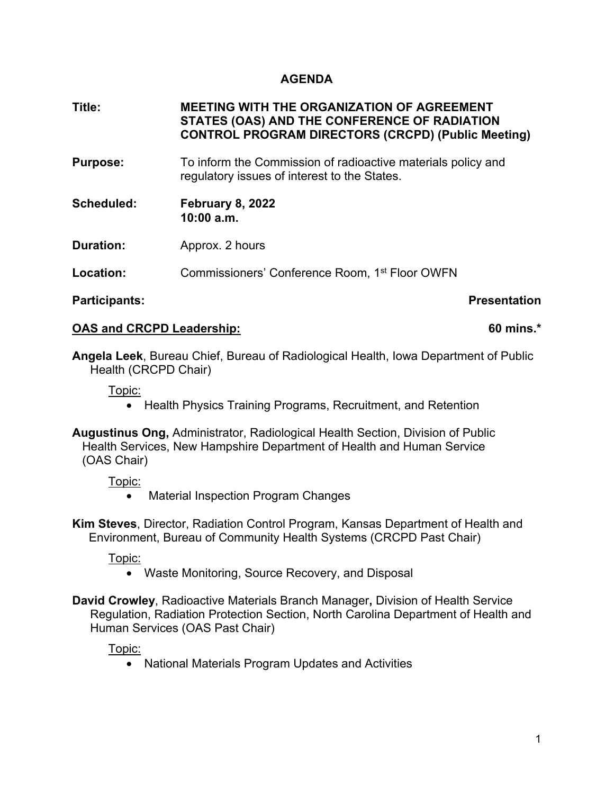# **AGENDA**

**Title: MEETING WITH THE ORGANIZATION OF AGREEMENT STATES (OAS) AND THE CONFERENCE OF RADIATION CONTROL PROGRAM DIRECTORS (CRCPD) (Public Meeting)** 

- **Purpose:** To inform the Commission of radioactive materials policy and regulatory issues of interest to the States.
- **Scheduled: February 8, 2022 10:00 a.m.**
- **Duration:** Approx. 2 hours

**Location:** Commissioners' Conference Room, 1<sup>st</sup> Floor OWFN

### **Participants:** Participants:

### **OAS and CRCPD Leadership:** 60 mins.\*

**Angela Leek**, Bureau Chief, Bureau of Radiological Health, Iowa Department of Public Health (CRCPD Chair)

Topic:

• Health Physics Training Programs, Recruitment, and Retention

**Augustinus Ong,** Administrator, Radiological Health Section, Division of Public Health Services, New Hampshire Department of Health and Human Service (OAS Chair)

Topic:

• Material Inspection Program Changes

**Kim Steves**, Director, Radiation Control Program, Kansas Department of Health and Environment, Bureau of Community Health Systems (CRCPD Past Chair)

Topic:

- Waste Monitoring, Source Recovery, and Disposal
- **David Crowley**, Radioactive Materials Branch Manager**,** Division of Health Service Regulation, Radiation Protection Section, North Carolina Department of Health and Human Services (OAS Past Chair)

Topic:

• National Materials Program Updates and Activities